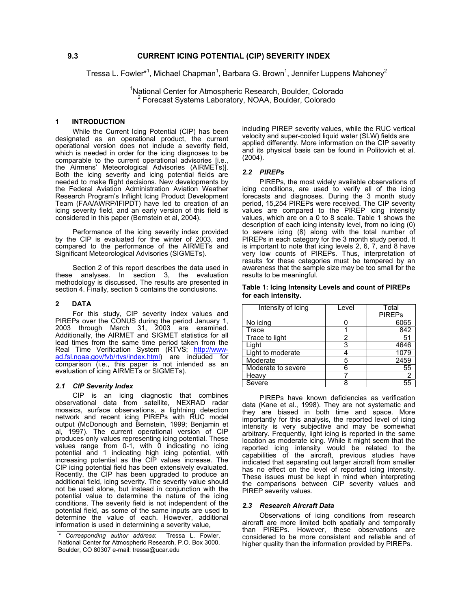Tressa L. Fowler\*<sup>1</sup>, Michael Chapman<sup>1</sup>, Barbara G. Brown<sup>1</sup>, Jennifer Luppens Mahoney<sup>2</sup>

<sup>1</sup>National Center for Atmospheric Research, Boulder, Colorado 2 Forecast Systems Laboratory, NOAA, Boulder, Colorado

## **1 INTRODUCTION**

While the Current Icing Potential (CIP) has been designated as an operational product, the current operational version does not include a severity field, which is needed in order for the icing diagnoses to be comparable to the current operational advisories [i.e., the Airmens' Meteorological Advisories (AIRMETs)]. Both the icing severity and icing potential fields are needed to make flight decisions. New developments by the Federal Aviation Administration Aviation Weather Research Program's Inflight Icing Product Development Team (FAA/AWRP/IFIPDT) have led to creation of an icing severity field, and an early version of this field is considered in this paper (Bernstein et al, 2004).

Performance of the icing severity index provided by the CIP is evaluated for the winter of 2003, and compared to the performance of the AIRMETs and Significant Meteorological Advisories (SIGMETs).

Section 2 of this report describes the data used in these analyses. In section 3, the evaluation methodology is discussed. The results are presented in section 4. Finally, section 5 contains the conclusions.

#### **2 DATA**

For this study, CIP severity index values and PIREPs over the CONUS during the period January 1, 2003 through March 31, 2003 are examined. Additionally, the AIRMET and SIGMET statistics for all lead times from the same time period taken from the Real Time Verification System (RTVS; [http://www](http://www-ad.fsl.noaa.gov/fvb/rtvs/index.html)[ad.fsl.noaa.gov/fvb/rtvs/index.html](http://www-ad.fsl.noaa.gov/fvb/rtvs/index.html)) are included for  $comparison$  (i.e., this paper is not intended as an evaluation of icing AIRMETs or SIGMETs).

#### *2.1 CIP Severity Index*

CIP is an icing diagnostic that combines observational data from satellite, NEXRAD radar mosaics, surface observations, a lightning detection network and recent icing PIREPs with RUC model output (McDonough and Bernstein, 1999; Benjamin et al, 1997). The current operational version of CIP produces only values representing icing potential. These values range from 0-1, with 0 indicating no icing potential and 1 indicating high icing potential, with increasing potential as the CIP values increase. The CIP icing potential field has been extensively evaluated. Recently, the CIP has been upgraded to produce an additional field, icing severity. The severity value should not be used alone, but instead in conjunction with the potential value to determine the nature of the icing conditions. The severity field is not independent of the potential field, as some of the same inputs are used to determine the value of each. However, additional information is used in determining a severity value,

including PIREP severity values, while the RUC vertical velocity and super-cooled liquid water (SLW) fields are applied differently. More information on the CIP severity and its physical basis can be found in Politovich et al. (2004).

# *2.2 PIREPs*

PIREPs, the most widely available observations of icing conditions, are used to verify all of the icing forecasts and diagnoses. During the 3 month study period, 15,254 PIREPs were received. The CIP severity values are compared to the PIREP icing intensity values, which are on a 0 to 8 scale. Table 1 shows the description of each icing intensity level, from no icing (0) to severe icing (8) along with the total number of PIREPs in each category for the 3 month study period. It is important to note that icing levels 2, 6, 7, and 8 have very low counts of PIREPs. Thus, interpretation of results for these categories must be tempered by an awareness that the sample size may be too small for the results to be meaningful.

# **Table 1: Icing Intensity Levels and count of PIREPs for each intensity.**

| Intensity of Icing | Level | Total<br><b>PIREPs</b> |
|--------------------|-------|------------------------|
| No icing           |       | 6065                   |
| Trace              |       | 842                    |
| Trace to light     | 2     | 51                     |
| Liaht              | 3     | 4646                   |
| Light to moderate  |       |                        |
| Moderate           | 5     | 2459                   |
| Moderate to severe | 6     | 55                     |
| Heavy              |       |                        |
| Severe             | я     | 55                     |

PIREPs have known deficiencies as verification data (Kane et al., 1998). They are not systematic and they are biased in both time and space. More importantly for this analysis, the reported level of icing intensity is very subjective and may be somewhat arbitrary. Frequently, light icing is reported in the same location as moderate icing. While it might seem that the reported icing intensity would be related to the capabilities of the aircraft, previous studies have indicated that separating out larger aircraft from smaller has no effect on the level of reported icing intensity. These issues must be kept in mind when interpreting the comparisons between CIP severity values and PIREP severity values.

#### *2.3 Research Aircraft Data*

Observations of icing conditions from research aircraft are more limited both spatially and temporally than PIREPs. However, these observations are considered to be more consistent and reliable and of higher quality than the information provided by PIREPs.

*<sup>\*</sup> Corresponding author address*: Tressa L. Fowler, National Center for Atmospheric Research, P.O. Box 3000, Boulder, CO 80307 e-mail: tressa@ucar.edu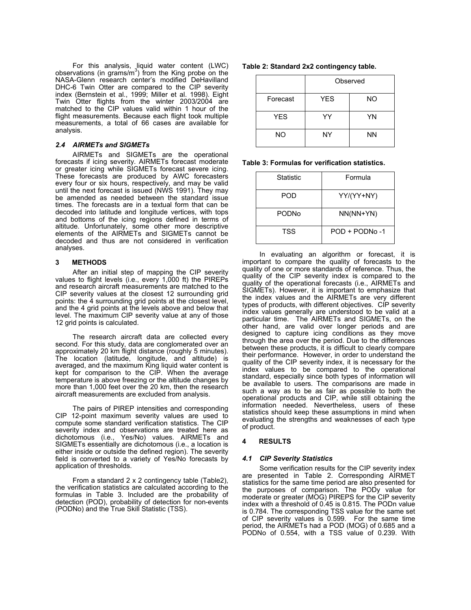For this analysis, liquid water content (LWC) observations (in grams/ $m<sup>3</sup>$ ) from the King probe on the NASA-Glenn research center's modified DeHavilland DHC-6 Twin Otter are compared to the CIP severity index (Bernstein et al., 1999; Miller et al. 1998). Eight Twin Otter flights from the winter 2003/2004 are matched to the CIP values valid within 1 hour of the flight measurements. Because each flight took multiple measurements, a total of 66 cases are available for analysis.

### *2.4 AIRMETs and SIGMETs*

AIRMETs and SIGMETs are the operational forecasts if icing severity. AIRMETs forecast moderate or greater icing while SIGMETs forecast severe icing. These forecasts are produced by AWC forecasters every four or six hours, respectively, and may be valid until the next forecast is issued (NWS 1991). They may be amended as needed between the standard issue times. The forecasts are in a textual form that can be decoded into latitude and longitude vertices, with tops and bottoms of the icing regions defined in terms of altitude. Unfortunately, some other more descriptive elements of the AIRMETs and SIGMETs cannot be decoded and thus are not considered in verification analyses.

### **3 METHODS**

After an initial step of mapping the CIP severity values to flight levels (i.e., every 1,000 ft) the PIREPs and research aircraft measurements are matched to the CIP severity values at the closest 12 surrounding grid points: the 4 surrounding grid points at the closest level, and the 4 grid points at the levels above and below that level. The maximum CIP severity value at any of those 12 grid points is calculated.

The research aircraft data are collected every second. For this study, data are conglomerated over an approximately 20 km flight distance (roughly 5 minutes). The location (latitude, longitude, and altitude) is averaged, and the maximum King liquid water content is kept for comparison to the CIP. When the average temperature is above freezing or the altitude changes by more than 1,000 feet over the 20 km, then the research aircraft measurements are excluded from analysis.

The pairs of PIREP intensities and corresponding CIP 12-point maximum severity values are used to compute some standard verification statistics. The CIP severity index and observations are treated here as dichotomous (i.e., Yes/No) values. AIRMETs and SIGMETs essentially are dichotomous (i.e., a location is either inside or outside the defined region). The severity field is converted to a variety of Yes/No forecasts by application of thresholds.

From a standard 2 x 2 contingency table (Table2), the verification statistics are calculated according to the formulas in Table 3. Included are the probability of detection (POD), probability of detection for non-events (PODNo) and the True Skill Statistic (TSS).

| Table 2: Standard 2x2 contingency table. |  |
|------------------------------------------|--|
|------------------------------------------|--|

|            | Observed   |           |  |
|------------|------------|-----------|--|
| Forecast   | <b>YES</b> | <b>NO</b> |  |
| <b>YES</b> | YY         | YN        |  |
| NO         | NY         | <b>NN</b> |  |

**Table 3: Formulas for verification statistics.** 

| <b>Statistic</b> | Formula       |
|------------------|---------------|
| POD              | YY/(YY+NY)    |
| <b>PODNo</b>     | $NN(NN+YN)$   |
| TSS              | POD + PODNo-1 |

In evaluating an algorithm or forecast, it is important to compare the quality of forecasts to the quality of one or more standards of reference. Thus, the quality of the CIP severity index is compared to the quality of the operational forecasts (i.e., AIRMETs and SIGMETs). However, it is important to emphasize that the index values and the AIRMETs are very different types of products, with different objectives. CIP severity index values generally are understood to be valid at a particular time. The AIRMETs and SIGMETs, on the other hand, are valid over longer periods and are designed to capture icing conditions as they move through the area over the period. Due to the differences between these products, it is difficult to clearly compare their performance. However, in order to understand the quality of the CIP severity index, it is necessary for the index values to be compared to the operational standard, especially since both types of information will be available to users. The comparisons are made in such a way as to be as fair as possible to both the operational products and CIP, while still obtaining the information needed. Nevertheless, users of these statistics should keep these assumptions in mind when evaluating the strengths and weaknesses of each type of product.

### **4 RESULTS**

### *4.1 CIP Severity Statistics*

Some verification results for the CIP severity index are presented in Table 2. Corresponding AIRMET statistics for the same time period are also presented for the purposes of comparison. The PODy value for moderate or greater (MOG) PIREPS for the CIP severity index with a threshold of 0.45 is 0.815. The PODn value is 0.784. The corresponding TSS value for the same set of CIP severity values is 0.599. For the same time period, the AIRMETs had a POD (MOG) of 0.685 and a PODNo of 0.554, with a TSS value of 0.239. With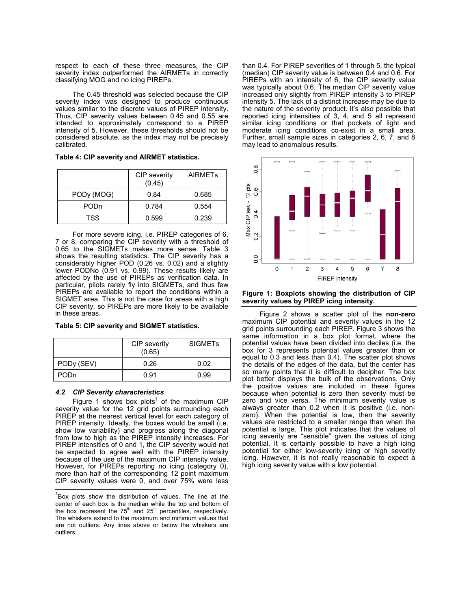respect to each of these three measures, the CIP severity index outperformed the AIRMETs in correctly classifying MOG and no icing PIREPs.

The 0.45 threshold was selected because the CIP severity index was designed to produce continuous values similar to the discrete values of PIREP intensity. Thus, CIP severity values between 0.45 and 0.55 are intended to approximately correspond to a PIREP intensity of 5. However, these thresholds should not be considered absolute, as the index may not be precisely calibrated.

|  |  | Table 4: CIP severity and AIRMET statistics. |  |
|--|--|----------------------------------------------|--|
|  |  |                                              |  |

|             | CIP severity<br>(0.45) | <b>AIRMETS</b> |
|-------------|------------------------|----------------|
| PODy (MOG)  | 0.84                   | 0.685          |
| <b>PODn</b> | 0.784                  | 0.554          |
| TSS         | 0.599                  | 0.239          |

For more severe icing, i.e. PIREP categories of 6, 7 or 8, comparing the CIP severity with a threshold of 0.65 to the SIGMETs makes more sense. Table 3 shows the resulting statistics. The CIP severity has a considerably higher POD (0.26 vs. 0.02) and a slightly lower PODNo (0.91 vs. 0.99). These results likely are affected by the use of PIREPs as verification data. In particular, pilots rarely fly into SIGMETs, and thus few PIREPs are available to report the conditions within a SIGMET area. This is not the case for areas with a high CIP severity, so PIREPs are more likely to be available in these areas.

**Table 5: CIP severity and SIGMET statistics.** 

|             | CIP severity<br>(0.65) | <b>SIGMETs</b> |
|-------------|------------------------|----------------|
| PODy (SEV)  | 0.26                   | 0.02           |
| <b>PODn</b> | 0.91                   | 0.99           |

# *4.2 CIP Severity characteristics*

Figure1 shows box plots<sup>1</sup> of the maximum CIP severity value for the 12 grid points surrounding each PIREP at the nearest vertical level for each category of PIREP intensity. Ideally, the boxes would be small (i.e. show low variability) and progress along the diagonal from low to high as the PIREP intensity increases. For PIREP intensities of 0 and 1, the CIP severity would not be expected to agree well with the PIREP intensity because of the use of the maximum CIP intensity value. However, for PIREPs reporting no icing (category 0), more than half of the corresponding 12 point maximum CIP severity values were 0, and over 75% were less

than 0.4. For PIREP severities of 1 through 5, the typical (median) CIP severity value is between 0.4 and 0.6. For PIREPs with an intensity of 6, the CIP severity value was typically about 0.6. The median CIP severity value increased only slightly from PIREP intensity 3 to PIREP intensity 5. The lack of a distinct increase may be due to the nature of the severity product. It's also possible that reported icing intensities of 3, 4, and 5 all represent similar icing conditions or that pockets of light and moderate icing conditions co-exist in a small area. Further, small sample sizes in categories 2, 6, 7, and 8 may lead to anomalous results.



### **Figure 1: Boxplots showing the distribution of CIP severity values by PIREP icing intensity.**

Figure 2 shows a scatter plot of the **non-zero** maximum CIP potential and severity values in the 12 grid points surrounding each PIREP. Figure 3 shows the same information in a box plot format, where the potential values have been divided into deciles (i.e. the box for 3 represents potential values greater than or equal to 0.3 and less than 0.4). The scatter plot shows the details of the edges of the data, but the center has so many points that it is difficult to decipher. The box plot better displays the bulk of the observations. Only the positive values are included in these figures because when potential is zero then severity must be zero and vice versa. The minimum severity value is always greater than 0.2 when it is positive (i.e. nonzero). When the potential is low, then the severity values are restricted to a smaller range than when the potential is large. This plot indicates that the values of icing severity are "sensible" given the values of icing potential. It is certainly possible to have a high icing potential for either low-severity icing or high severity icing. However, it is not really reasonable to expect a high icing severity value with a low potential.

<span id="page-2-0"></span><sup>1&</sup>lt;br><sup>1</sup> Box plots show the distribution of values. The line at the the box represent the  $75<sup>th</sup>$  and  $25<sup>th</sup>$  percentiles, respectively. center of each box is the median while the top and bottom of The whiskers extend to the maximum and minimum values that are not outliers. Any lines above or below the whiskers are outliers.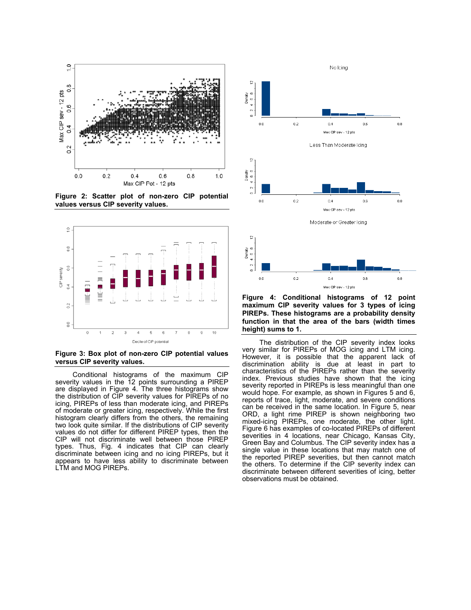

**Figure 2: Scatter plot of non-zero CIP potential values versus CIP severity values.** 



**Figure 3: Box plot of non-zero CIP potential values versus CIP severity values.**

Conditional histograms of the maximum CIP severity values in the 12 points surrounding a PIREP are displayed in Figure 4. The three histograms show the distribution of CIP severity values for PIREPs of no icing, PIREPs of less than moderate icing, and PIREPs of moderate or greater icing, respectively. While the first histogram clearly differs from the others, the remaining two look quite similar. If the distributions of CIP severity values do not differ for different PIREP types, then the CIP will not discriminate well between those PIREP types. Thus, Fig. 4 indicates that CIP can clearly discriminate between icing and no icing PIREPs, but it appears to have less ability to discriminate between LTM and MOG PIREPs.



**Figure 4: Conditional histograms of 12 point maximum CIP severity values for 3 types of icing PIREPs. These histograms are a probability density function in that the area of the bars (width times height) sums to 1.** 

Max CIP sev - 12 pts

The distribution of the CIP severity index looks very similar for PIREPs of MOG icing and LTM icing. However, it is possible that the apparent lack of discrimination ability is due at least in part to characteristics of the PIREPs rather than the severity index. Previous studies have shown that the icing severity reported in PIREPs is less meaningful than one would hope. For example, as shown in Figures 5 and 6, reports of trace, light, moderate, and severe conditions can be received in the same location. In Figure 5, near ORD, a light rime PIREP is shown neighboring two mixed-icing PIREPs, one moderate, the other light. Figure 6 has examples of co-located PIREPs of different severities in 4 locations, near Chicago, Kansas City, Green Bay and Columbus. The CIP severity index has a single value in these locations that may match one of the reported PIREP severities, but then cannot match the others. To determine if the CIP severity index can discriminate between different severities of icing, better observations must be obtained.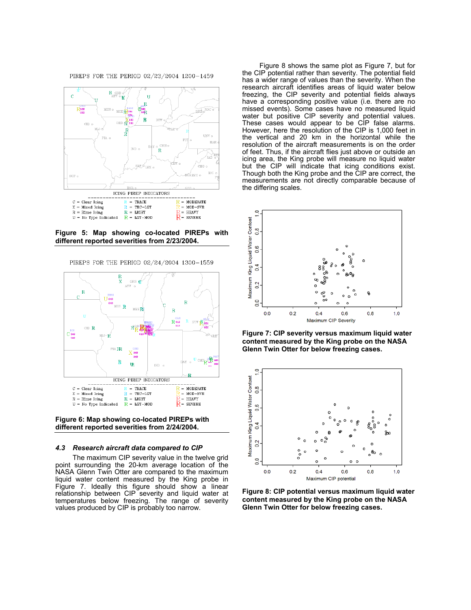PIREPS FOR THE PERIOD 02/23/2004 1200-1459



**Figure 5: Map showing co-located PIREPs with different reported severities from 2/23/2004.** 

PIREPS FOR THE PERIOD 02/24/2004 1300-1559



**Figure 6: Map showing co-located PIREPs with different reported severities from 2/24/2004.** 

#### *4.3 Research aircraft data compared to CIP*

The maximum CIP severity value in the twelve grid point surrounding the 20-km average location of the NASA Glenn Twin Otter are compared to the maximum liquid water content measured by the King probe in Figure 7. Ideally this figure should show a linear relationship between CIP severity and liquid water at temperatures below freezing. The range of severity values produced by CIP is probably too narrow.

Figure 8 shows the same plot as Figure 7, but for the CIP potential rather than severity. The potential field has a wider range of values than the severity. When the research aircraft identifies areas of liquid water below freezing, the CIP severity and potential fields always have a corresponding positive value (i.e. there are no missed events). Some cases have no measured liquid water but positive CIP severity and potential values. These cases would appear to be CIP false alarms. However, here the resolution of the CIP is 1,000 feet in the vertical and 20 km in the horizontal while the resolution of the aircraft measurements is on the order of feet. Thus, if the aircraft flies just above or outside an icing area, the King probe will measure no liquid water but the CIP will indicate that icing conditions exist. Though both the King probe and the CIP are correct, the measurements are not directly comparable because of the differing scales.



**Figure 7: CIP severity versus maximum liquid water content measured by the King probe on the NASA Glenn Twin Otter for below freezing cases.** 



**Figure 8: CIP potential versus maximum liquid water content measured by the King probe on the NASA Glenn Twin Otter for below freezing cases.**